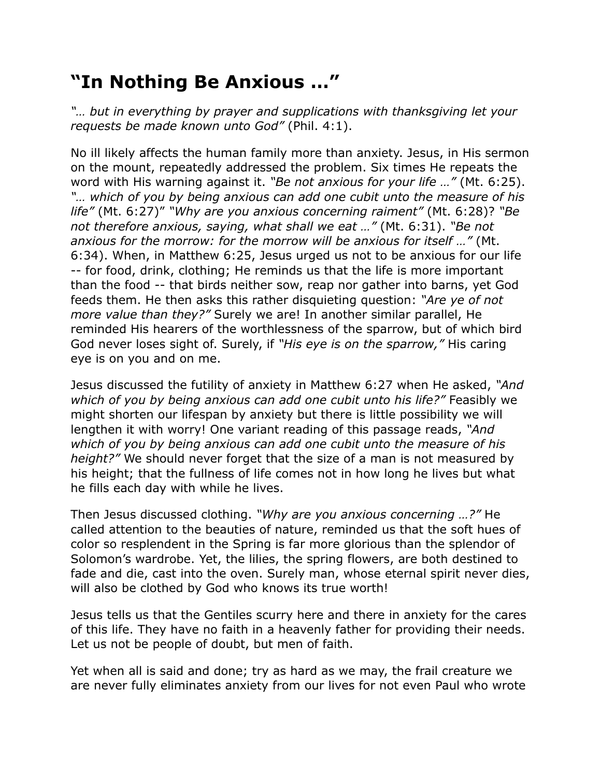## **"In Nothing Be Anxious …"**

*"… but in everything by prayer and supplications with thanksgiving let your requests be made known unto God"* (Phil. 4:1).

No ill likely affects the human family more than anxiety. Jesus, in His sermon on the mount, repeatedly addressed the problem. Six times He repeats the word with His warning against it. *"Be not anxious for your life …"* (Mt. 6:25). *"… which of you by being anxious can add one cubit unto the measure of his life"* (Mt. 6:27)" *"Why are you anxious concerning raiment"* (Mt. 6:28)? *"Be not therefore anxious, saying, what shall we eat …"* (Mt. 6:31). *"Be not anxious for the morrow: for the morrow will be anxious for itself …"* (Mt. 6:34). When, in Matthew 6:25, Jesus urged us not to be anxious for our life -- for food, drink, clothing; He reminds us that the life is more important than the food -- that birds neither sow, reap nor gather into barns, yet God feeds them. He then asks this rather disquieting question: *"Are ye of not more value than they?"* Surely we are! In another similar parallel, He reminded His hearers of the worthlessness of the sparrow, but of which bird God never loses sight of. Surely, if *"His eye is on the sparrow,"* His caring eye is on you and on me.

Jesus discussed the futility of anxiety in Matthew 6:27 when He asked, *"And which of you by being anxious can add one cubit unto his life?"* Feasibly we might shorten our lifespan by anxiety but there is little possibility we will lengthen it with worry! One variant reading of this passage reads, *"And which of you by being anxious can add one cubit unto the measure of his height?"* We should never forget that the size of a man is not measured by his height; that the fullness of life comes not in how long he lives but what he fills each day with while he lives.

Then Jesus discussed clothing. *"Why are you anxious concerning …?"* He called attention to the beauties of nature, reminded us that the soft hues of color so resplendent in the Spring is far more glorious than the splendor of Solomon's wardrobe. Yet, the lilies, the spring flowers, are both destined to fade and die, cast into the oven. Surely man, whose eternal spirit never dies, will also be clothed by God who knows its true worth!

Jesus tells us that the Gentiles scurry here and there in anxiety for the cares of this life. They have no faith in a heavenly father for providing their needs. Let us not be people of doubt, but men of faith.

Yet when all is said and done; try as hard as we may, the frail creature we are never fully eliminates anxiety from our lives for not even Paul who wrote